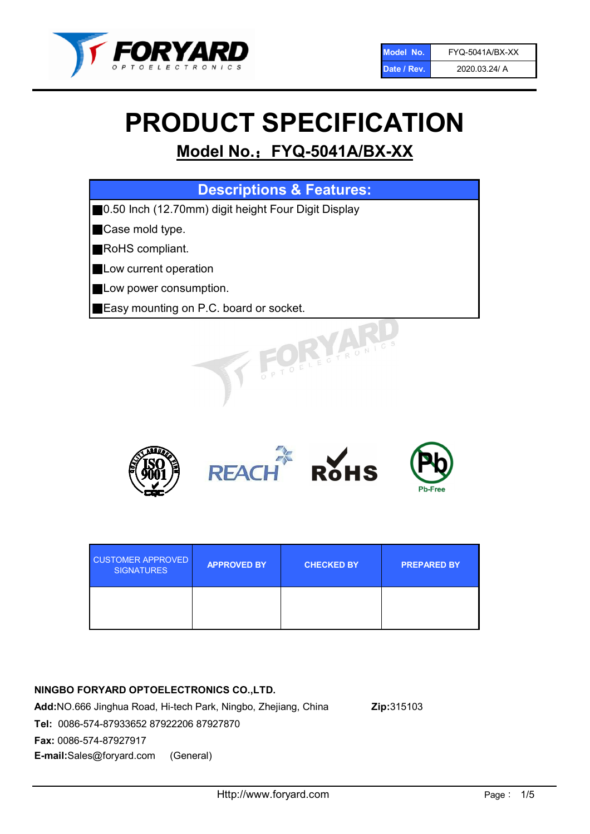

# PRODUCT SPECIFICATION

# Model No.: FYQ-5041A/BX-XX

| <b>Descriptions &amp; Features:</b>                  |
|------------------------------------------------------|
| ■0.50 Inch (12.70mm) digit height Four Digit Display |
| Case mold type.                                      |
| <b>RoHS</b> compliant.                               |
| Low current operation                                |
| Low power consumption.                               |
| Easy mounting on P.C. board or socket.               |
| OFLECTRONIC                                          |



| <b>CUSTOMER APPROVED</b><br><b>SIGNATURES</b> | <b>APPROVED BY</b> | <b>CHECKED BY</b> | <b>PREPARED BY</b> |
|-----------------------------------------------|--------------------|-------------------|--------------------|
|                                               |                    |                   |                    |

# NINGBO FORYARD OPTOELECTRONICS CO.,LTD.

Add:NO.666 Jinghua Road, Hi-tech Park, Ningbo, Zhejiang, China Zip:315103 Tel: 0086-574-87933652 87922206 87927870 Fax: 0086-574-87927917 E-mail:Sales@foryard.com (General)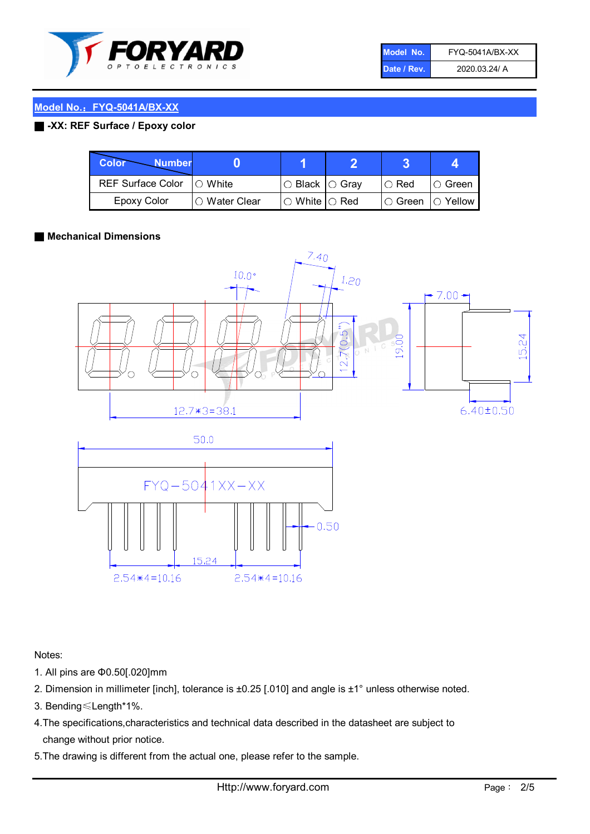

| Model No.   | <b>FYQ-5041A/BX-XX</b> |
|-------------|------------------------|
| Date / Rev. | 2020.03.24/ A          |

# Model No.: FYQ-5041A/BX-XX

# ■ -XX: REF Surface / Epoxy color

| Color<br><b>Number</b>      |                 |                                                   |                              |               |
|-----------------------------|-----------------|---------------------------------------------------|------------------------------|---------------|
| REF Surface Color   O White |                 | $\circ$ Black $\circ$ Gray                        | $\circ$ Red                  | $\circ$ Green |
| Epoxy Color                 | l ⊜ Water Clear | $\mathbin{\varcap}$ White $\mathbin{\varcap}$ Red | $\circ$ Green $\circ$ Yellow |               |

#### ■ Mechanical Dimensions



Notes:

- 1. All pins are Φ0.50[.020]mm
- 2. Dimension in millimeter [inch], tolerance is ±0.25 [.010] and angle is ±1° unless otherwise noted.
- 3. Bending≤Length\*1%.
- 4.The specifications,characteristics and technical data described in the datasheet are subject to change without prior notice.
- 5.The drawing is different from the actual one, please refer to the sample.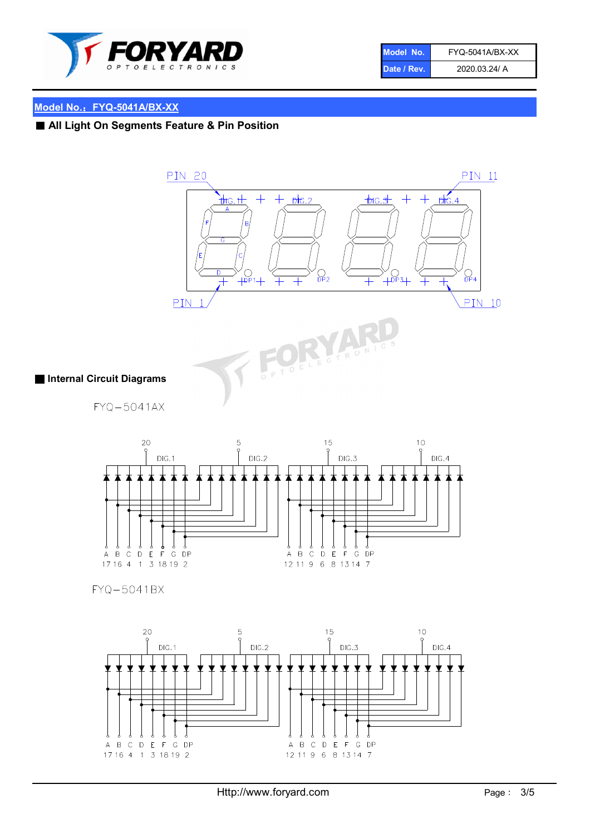

| Model No.   | FYQ-5041A/BX-XX |
|-------------|-----------------|
| Date / Rev. | 2020.03.24/ A   |

# Model No.: FYQ-5041A/BX-XX

■ All Light On Segments Feature & Pin Position



### ■ Internal Circuit Diagrams

FYQ-5041AX



FYQ-5041BX

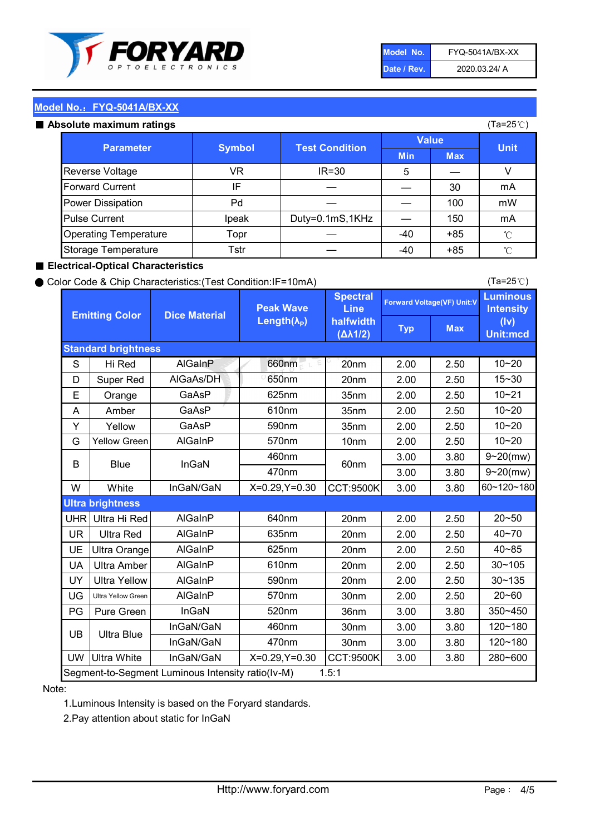

| Model No.   | FYQ-5041A/BX-XX |
|-------------|-----------------|
| Date / Rev. | 2020.03.24/ A   |

(Ta=25℃)

# Model No.: FYQ-5041A/BX-XX

#### Absolute maximum

| solute maximum ratings       |               |                       |              | (Ta=25℃)   |             |
|------------------------------|---------------|-----------------------|--------------|------------|-------------|
| <b>Parameter</b>             | <b>Symbol</b> | <b>Test Condition</b> | <b>Value</b> |            | <b>Unit</b> |
|                              |               |                       | <b>Min</b>   | <b>Max</b> |             |
| Reverse Voltage              | VR            | $IR = 30$             | 5            |            | V           |
| <b>Forward Current</b>       | IF            |                       |              | 30         | mA          |
| Power Dissipation            | Pd            |                       |              | 100        | mW          |
| <b>Pulse Current</b>         | Ipeak         | Duty=0.1mS,1KHz       |              | 150        | mA          |
| <b>Operating Temperature</b> | Topr          |                       | $-40$        | $+85$      | °C          |
| Storage Temperature          | Tstr          |                       | -40          | $+85$      | °C          |

#### ■ Electrical-Optical Characteristics

#### ● Color Code & Chip Characteristics:(Test Condition:IF=10mA)

Typ Max S | Hi $\textsf{Red}$  | AlGaInP | 660nm LE 20nm | 2.00 | 2.50 D | Super Red | AIGaAs/DH | 650nm | 20nm | 2.00 | 2.50 E | Orange | GaAsP | 625nm | 35nm | 2.00 | 2.50 A | Amber | GaAsP | 610nm | 35nm | 2.00 | 2.50 Y | Yellow | GaAsP | 590nm | 35nm | 2.00 | 2.50 G Yellow Green AIGaInP | 570nm | 10nm | 2.00 | 2.50 3.00 3.80 3.00 3.80 W | White | InGaN/GaN | X=0.29,Y=0.30 |CCT:9500K| 3.00 | 3.80 UHR Ultra Hi Red | AlGaInP | 640nm | 20nm | 2.00 | 2.50 UR | Ultra Red | AlGaInP | 635nm | 20nm | 2.00 | 2.50 UE Ultra Orange | AIGaInP | 625nm | 20nm | 2.00 | 2.50 UA Ultra Amber | AIGaInP | 610nm | 20nm | 2.00 | 2.50  $UV$  Ultra Yellow  $\vert$  AlGaInP  $\vert$  590nm  $\vert$  20nm  $\vert$  2.00  $\vert$  2.50  $\text{UG}$  Ultra Yellow Green | AIGaInP | 570nm | 30nm | 2.00 | 2.50 PG Pure Green | InGaN | 520nm | 36nm | 3.00 | 3.80 30nm 3.00 3.80 30nm 3.00 3.80 UW |Ultra White | InGaN/GaN | X=0.29,Y=0.30 |CCT:9500K| 3.00 | 3.80 40~85 60~120~180 40~70 Segment-to-Segment Luminous Intensity ratio(Iv-M) 1.5:1 610nm 9~20(mw) 350~450 470nm 120~180 120~180 Ultra Blue InGaN/GaN InGaN/GaN 9~20(mw) 20~50 280~600 570nm | 30nm | 2.00 | 2.50 | 20~60 470nm 590nm InGaN/GaN B Blue I InGaN 570nm | 10nm | 2.00 | 2.50 | 10~20 30~105 30~135 460nm 520nm Ultra brightness **AlGaInP** AlGaInP 60nm AlGaInP 640nm Peak Wave Length $(\lambda_{\rm P})$ UB 460nm 635nm AlGaInP AlGaInP AlGaInP InGaN/GaN AlGaInP 10~20 Luminous **Intensity** (Iv) Unit:mcd AlGainP 660nm GaAsP GaAsP AlGaAs/DH **Spectral** Line halfwidth (∆λ1/2) 10~20 Standard brightness Forward Voltage(VF) Unit:V 15~30 10~20 625nm GaAsP 590nm **Emitting Color Dice Material** 10~21 610nm

#### Note:

1.Luminous Intensity is based on the Foryard standards.

2.Pay attention about static for InGaN